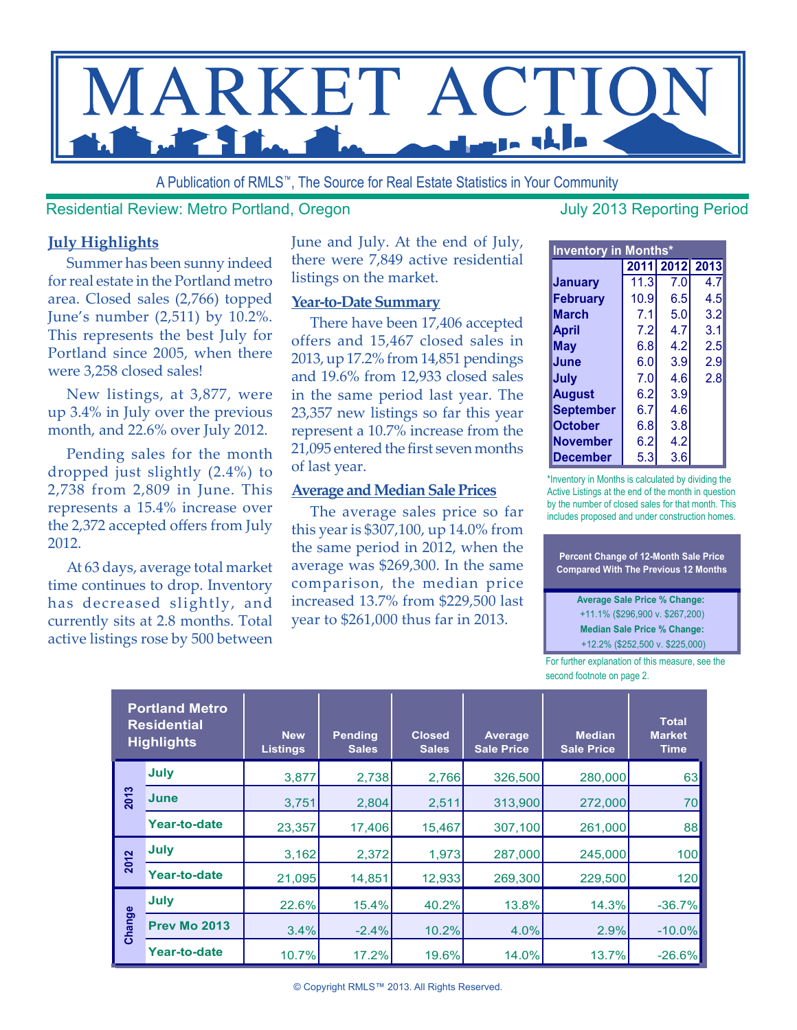

A Publication of RMLS™, The Source for Real Estate Statistics in Your Community

Residential Review: Metro Portland, Oregon July 2013 Reporting Period

#### **July Highlights**

Summer has been sunny indeed for real estate in the Portland metro area. Closed sales (2,766) topped June's number (2,511) by 10.2%. This represents the best July for Portland since 2005, when there were 3,258 closed sales!

New listings, at 3,877, were up 3.4% in July over the previous month, and 22.6% over July 2012.

Pending sales for the month dropped just slightly (2.4%) to 2,738 from 2,809 in June. This represents a 15.4% increase over the 2,372 accepted offers from July 2012.

At 63 days, average total market time continues to drop. Inventory has decreased slightly, and currently sits at 2.8 months. Total active listings rose by 500 between June and July. At the end of July, there were 7,849 active residential listings on the market.

#### **Year-to-Date Summary**

There have been 17,406 accepted offers and 15,467 closed sales in 2013, up 17.2% from 14,851 pendings and 19.6% from 12,933 closed sales in the same period last year. The 23,357 new listings so far this year represent a 10.7% increase from the 21,095 entered the first seven months of last year.

#### **Average and Median Sale Prices**

The average sales price so far this year is \$307,100, up 14.0% from the same period in 2012, when the average was \$269,300. In the same comparison, the median price increased 13.7% from \$229,500 last year to \$261,000 thus far in 2013.

| <b>Inventory in Months*</b> |      |     |                |  |  |  |  |  |  |  |  |
|-----------------------------|------|-----|----------------|--|--|--|--|--|--|--|--|
|                             |      |     | 2011 2012 2013 |  |  |  |  |  |  |  |  |
| <b>January</b>              | 11.3 | 7.0 | 4.7            |  |  |  |  |  |  |  |  |
| <b>February</b>             | 10.9 | 6.5 | 4.5            |  |  |  |  |  |  |  |  |
| <b>March</b>                | 7.1  | 5.0 | 3.2            |  |  |  |  |  |  |  |  |
| April                       | 7.2  | 4.7 | 3.1            |  |  |  |  |  |  |  |  |
| May                         | 6.8  | 4.2 | 2.5            |  |  |  |  |  |  |  |  |
| June                        | 6.0  | 3.9 | 2.9            |  |  |  |  |  |  |  |  |
| July                        | 7.0  | 4.6 | 2.8            |  |  |  |  |  |  |  |  |
| <b>August</b>               | 6.2  | 3.9 |                |  |  |  |  |  |  |  |  |
| <b>September</b>            | 6.7  | 4.6 |                |  |  |  |  |  |  |  |  |
| <b>October</b>              | 6.8  | 3.8 |                |  |  |  |  |  |  |  |  |
| <b>November</b>             | 6.2  | 4.2 |                |  |  |  |  |  |  |  |  |
| <b>December</b>             | 5.3  | 3.6 |                |  |  |  |  |  |  |  |  |

\*Inventory in Months is calculated by dividing the Active Listings at the end of the month in question by the number of closed sales for that month. This includes proposed and under construction homes.

**Percent Change of 12-Month Sale Price Compared With The Previous 12 Months** 

**Average Sale Price % Change:**  +11.1% (\$296,900 v. \$267,200) **Median Sale Price % Change:** +12.2% (\$252,500 v. \$225,000)

For further explanation of this measure, see the second footnote on page 2.

|        | <b>Portland Metro</b><br><b>Residential</b><br><b>Highlights</b> | <b>New</b><br><b>Listings</b> | <b>Pending</b><br><b>Sales</b> | <b>Closed</b><br><b>Sales</b> | Average<br><b>Sale Price</b> | <b>Median</b><br><b>Sale Price</b> | <b>Total</b><br><b>Market</b><br><b>Time</b> |
|--------|------------------------------------------------------------------|-------------------------------|--------------------------------|-------------------------------|------------------------------|------------------------------------|----------------------------------------------|
| 2013   | July                                                             | 3,877                         | 2,738                          | 2,766                         | 326,500                      | 280,000                            | 63                                           |
|        | June                                                             | 3.751                         | 2.804                          | 2.511                         | 313,900                      | 272,000                            | 70                                           |
|        | Year-to-date                                                     | 23,357                        | 17,406                         | 15,467                        | 307,100                      | 261,000                            | 88                                           |
| 2012   | July                                                             | 3,162                         | 2,372                          | 1,973                         | 287,000                      | 245,000                            | 100                                          |
|        | Year-to-date                                                     | 21,095                        | 14,851                         | 12,933                        | 269,300                      | 229,500                            | 120                                          |
| Change | July                                                             | 22.6%                         | 15.4%                          | 40.2%                         | 13.8%                        | 14.3%                              | $-36.7%$                                     |
|        | <b>Prev Mo 2013</b>                                              | 3.4%                          | $-2.4%$                        | 10.2%                         | 4.0%                         | 2.9%                               | $-10.0%$                                     |
|        | Year-to-date                                                     | 10.7%                         | 17.2%                          | 19.6%                         | 14.0%                        | 13.7%                              | $-26.6%$                                     |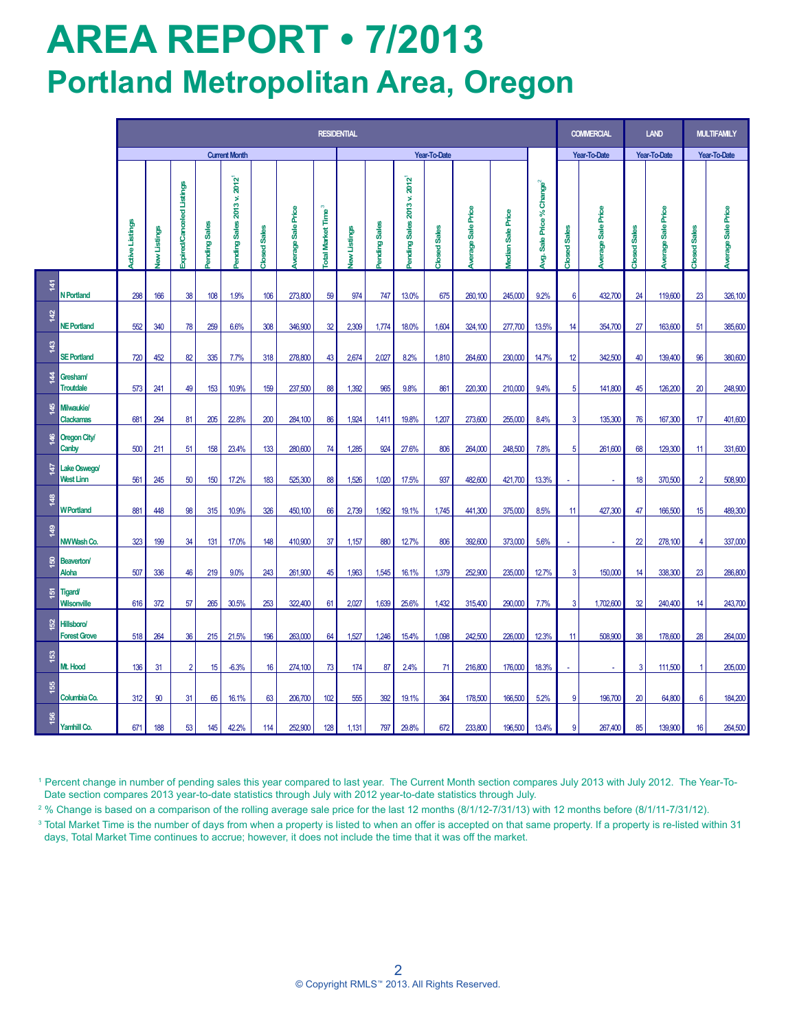# **AREA REPORT • 7/2013 Portland Metropolitan Area, Oregon**

|                |                                                                                                                                                                                                                                                                                                                                                                                                                                                                                                                                                                                                                                                                                                                                                            | <b>RESIDENTIAL</b>     |             |                                  |              |                              |                     |                      |                                         |              |              |                               |              |                             |                            |                                         | <b>COMMERCIAL</b> | <b>LAND</b>              |                  | <b>MULTIFAMILY</b>   |                                      |                          |
|----------------|------------------------------------------------------------------------------------------------------------------------------------------------------------------------------------------------------------------------------------------------------------------------------------------------------------------------------------------------------------------------------------------------------------------------------------------------------------------------------------------------------------------------------------------------------------------------------------------------------------------------------------------------------------------------------------------------------------------------------------------------------------|------------------------|-------------|----------------------------------|--------------|------------------------------|---------------------|----------------------|-----------------------------------------|--------------|--------------|-------------------------------|--------------|-----------------------------|----------------------------|-----------------------------------------|-------------------|--------------------------|------------------|----------------------|--------------------------------------|--------------------------|
|                |                                                                                                                                                                                                                                                                                                                                                                                                                                                                                                                                                                                                                                                                                                                                                            | <b>Current Month</b>   |             |                                  |              |                              |                     |                      |                                         | Year-To-Date |              |                               |              |                             |                            | Year-To-Date                            |                   | Year-To-Date             |                  | <b>Year-To-Date</b>  |                                      |                          |
|                |                                                                                                                                                                                                                                                                                                                                                                                                                                                                                                                                                                                                                                                                                                                                                            | <b>Active Listings</b> | ew Listings | <b>Expired/Canceled Listings</b> | ending Sales | 2012<br>ending Sales 2013 v. | <b>Closed Sales</b> | Sale Price<br>werage | $\infty$<br>Time<br><b>Total Market</b> | ew Listings  | ending Sales | Sales 2013 v. 2012<br>ending: | Closed Sales | Sale Price<br><b>Gibele</b> | Sale Price<br><b>ledan</b> | Sale Price % Change <sup>2</sup><br>\$, | Closed Sales      | Sale Price<br>verage     | Closed Sales     | Sale Price<br>werage | <b>ISales</b><br>Closed <sup>®</sup> | <b>Werage Sale Price</b> |
| $\frac{1}{4}$  | N Portland                                                                                                                                                                                                                                                                                                                                                                                                                                                                                                                                                                                                                                                                                                                                                 | 298                    | 166         | 38                               | 108          | 1.9%                         | 106                 | 273,800              | 59                                      | 974          | 747          | 13.0%                         | 675          | 260,100                     | 245,000                    | 9.2%                                    | $6\phantom{1}$    | 432,700                  | 24               | 119,600              | 23                                   | 326,100                  |
| क़             | <b>NE Portland</b>                                                                                                                                                                                                                                                                                                                                                                                                                                                                                                                                                                                                                                                                                                                                         | 552                    | 340         | 78                               | 259          | 6.6%                         | 308                 | 346,900              | 32                                      | 2,309        | 1,774        | 18.0%                         | 1,604        | 324,100                     | 277,700                    | 13.5%                                   | 14                | 354,700                  | 27               | 163,600              | 51                                   | 385,600                  |
| $\frac{43}{2}$ | <b>SE Portland</b>                                                                                                                                                                                                                                                                                                                                                                                                                                                                                                                                                                                                                                                                                                                                         | 720                    | 452         | 82                               | 335          | 7.7%                         | 318                 | 278,800              | 43                                      | 2,674        | 2,027        | 8.2%                          | 1,810        | 264,600                     | 230,000                    | 14.7%                                   | 12                | 342,500                  | 40               | 139,400              | 96                                   | 380,600                  |
|                | <b>Gresham/</b><br><b>Troutdale</b>                                                                                                                                                                                                                                                                                                                                                                                                                                                                                                                                                                                                                                                                                                                        | 573                    | 241         | 49                               | 153          | 10.9%                        | 159                 | 237,500              | 88                                      | 1,392        | 965          | 9.8%                          | 861          | 220,300                     | 210,000                    | 9.4%                                    | 5                 | 141,800                  | 45               | 126,200              | 20                                   | 248,900                  |
| इ              | Milwaukie/<br><b>Clackamas</b>                                                                                                                                                                                                                                                                                                                                                                                                                                                                                                                                                                                                                                                                                                                             | 681                    | 294         | 81                               | 205          | 22.8%                        | 200                 | 284,100              | 86                                      | 1,924        | 1,411        | 19.8%                         | 1,207        | 273,600                     | 255,000                    | 8.4%                                    | $\mathbf{3}$      | 135,300                  | 76               | 167,300              | 17                                   | 401,600                  |
| 46             | <b>Oregon City/</b><br>Canby                                                                                                                                                                                                                                                                                                                                                                                                                                                                                                                                                                                                                                                                                                                               | 500                    | 211         | 51                               | 158          | 23.4%                        | 133                 | 280,600              | 74                                      | 1,285        | 924          | 27.6%                         | 806          | 264,000                     | 248,500                    | 7.8%                                    | 5                 | 261,600                  | 68               | 129,300              | 11                                   | 331,600                  |
| ÆГ             | Lake Oswego/<br>West Linn                                                                                                                                                                                                                                                                                                                                                                                                                                                                                                                                                                                                                                                                                                                                  | 561                    | 245         | 50                               | 150          | 17.2%                        | 183                 | 525,300              | 88                                      | 1,526        | 1,020        | 17.5%                         | 937          | 482,600                     | 421,700                    | 13.3%                                   |                   | $\overline{\phantom{a}}$ | 18               | 370,500              | $\overline{2}$                       | 508,900                  |
| $\frac{48}{5}$ | <b>WPortland</b>                                                                                                                                                                                                                                                                                                                                                                                                                                                                                                                                                                                                                                                                                                                                           | 881                    | 448         | 98                               | 315          | 10.9%                        | 326                 | 450,100              | 66                                      | 2,739        | 1,952        | 19.1%                         | 1,745        | 441,300                     | 375,000                    | 8.5%                                    | 11                | 427,300                  | 47               | 166,500              | 15                                   | 489,300                  |
| $\frac{49}{5}$ | NWWash Co.                                                                                                                                                                                                                                                                                                                                                                                                                                                                                                                                                                                                                                                                                                                                                 | 323                    | 199         | 34                               | 131          | 17.0%                        | 148                 | 410,900              | 37                                      | 1,157        | 880          | 12.7%                         | 806          | 392,600                     | 373,000                    | 5.6%                                    | ÷,                | $\mathbf{r}$             | $\boldsymbol{z}$ | 278,100              | 4                                    | 337,000                  |
| $\frac{6}{5}$  | <b>Beaverton</b><br><b>Aloha</b>                                                                                                                                                                                                                                                                                                                                                                                                                                                                                                                                                                                                                                                                                                                           | 507                    | 336         | 46                               | 219          | 9.0%                         | 243                 | 261,900              | 45                                      | 1,963        | 1,545        | 16.1%                         | 1,379        | 252,900                     | 235,000                    | 12.7%                                   | $\mathbf{3}$      | 150,000                  | 14               | 338,300              | 23                                   | 286,800                  |
| 혼.             | <b>Tigard/</b><br><b>Wilsonville</b>                                                                                                                                                                                                                                                                                                                                                                                                                                                                                                                                                                                                                                                                                                                       | 616                    | 372         | 57                               | 265          | 30.5%                        | 253                 | 322,400              | 61                                      | 2,027        | 1,639        | 25.6%                         | 1,432        | 315,400                     | 290,000                    | 7.7%                                    | 3                 | 1,702,600                | 32               | 240,400              | 14                                   | 243,700                  |
| 8              | <b>Hillsboro/</b><br><b>Forest Grove</b>                                                                                                                                                                                                                                                                                                                                                                                                                                                                                                                                                                                                                                                                                                                   | 518                    | 264         | 36                               | 215          | 21.5%                        | 196                 | 263,000              | 64                                      | 1,527        | 1,246        | 15.4%                         | 1,098        | 242,500                     | 226,000                    | 12.3%                                   | 11                | 508,900                  | 38               | 178,600              | 28                                   | 264,000                  |
| <u>នេ</u>      | Mt. Hood                                                                                                                                                                                                                                                                                                                                                                                                                                                                                                                                                                                                                                                                                                                                                   | 136                    | 31          | $\overline{2}$                   | 15           | $-6.3%$                      | 16                  | 274,100              | 73                                      | 174          | 87           | 2.4%                          | 71           | 216,800                     | 176,000                    | 18.3%                                   |                   | $\blacksquare$           | 3                | 111,500              | -1                                   | 205,000                  |
| 155            | Columbia Co.                                                                                                                                                                                                                                                                                                                                                                                                                                                                                                                                                                                                                                                                                                                                               | 312                    | 90          | 31                               | 65           | 16.1%                        | 63                  | 206,700              | 102                                     | 555          | 392          | 19.1%                         | 364          | 178,500                     | 166,500                    | 5.2%                                    | 9                 | 196,700                  | 20               | 64,800               | 6                                    | 184,200                  |
| 156            | Yamhill Co.                                                                                                                                                                                                                                                                                                                                                                                                                                                                                                                                                                                                                                                                                                                                                | 671                    | 188         | 53                               | 145          | 42.2%                        | 114                 | 252,900              | 128                                     | 1,131        | 797          | 29.8%                         | 672          | 233,800                     | 196,500 13.4%              |                                         | 9                 | 267,400                  | 85               | 139,900              | 16                                   | 264,500                  |
|                | <sup>1</sup> Percent change in number of pending sales this year compared to last year. The Current Month section compares July 2013 with July 2012. The Year-To-<br>Date section compares 2013 year-to-date statistics through July with 2012 year-to-date statistics through July.<br><sup>2</sup> % Change is based on a comparison of the rolling average sale price for the last 12 months (8/1/12-7/31/13) with 12 months before (8/1/11-7/31/12).<br><sup>3</sup> Total Market Time is the number of days from when a property is listed to when an offer is accepted on that same property. If a property is re-listed within 31<br>days, Total Market Time continues to accrue; however, it does not include the time that it was off the market. |                        |             |                                  |              |                              |                     |                      |                                         |              |              |                               |              |                             |                            |                                         |                   |                          |                  |                      |                                      |                          |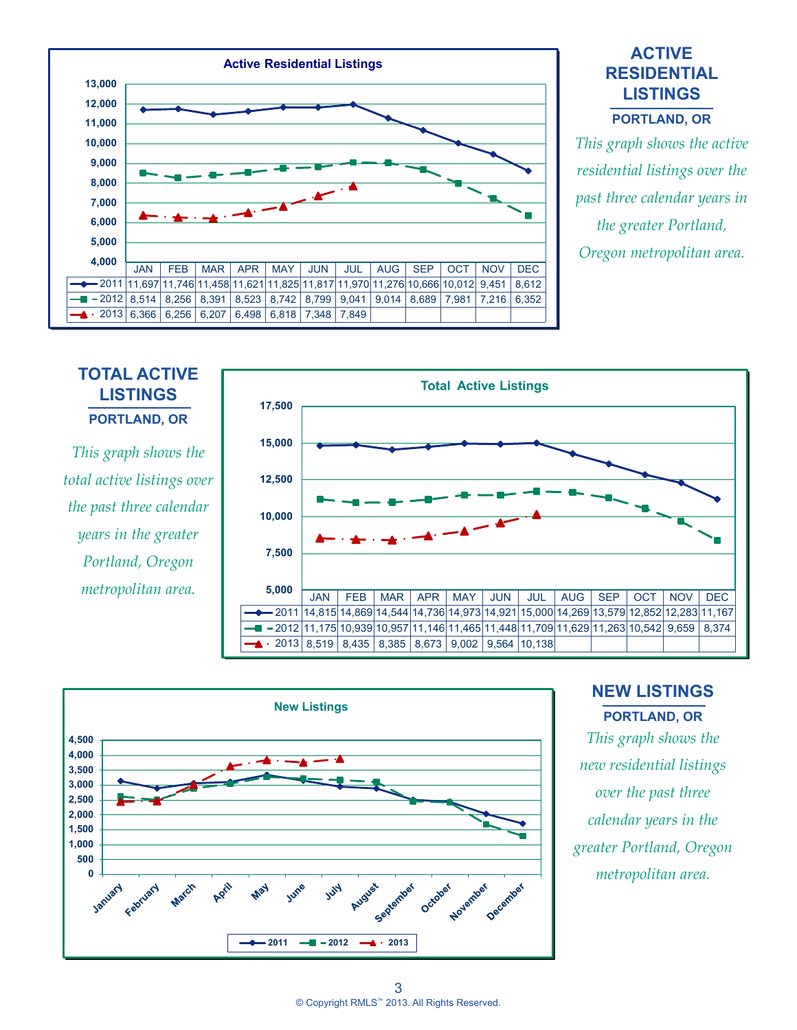

#### **ACTIVE RESIDENTIAL LISTINGS**

**PORTLAND, OR**

*This graph shows the active residential listings over the past three calendar years in the greater Portland, Oregon metropolitan area.*

#### **TOTAL ACTIVE LISTINGS PORTLAND, OR**

*This graph shows the total active listings over the past three calendar years in the greater Portland, Oregon metropolitan area.*





#### **NEW LISTINGS PORTLAND, OR**

*This graph shows the new residential listings over the past three calendar years in the greater Portland, Oregon metropolitan area.*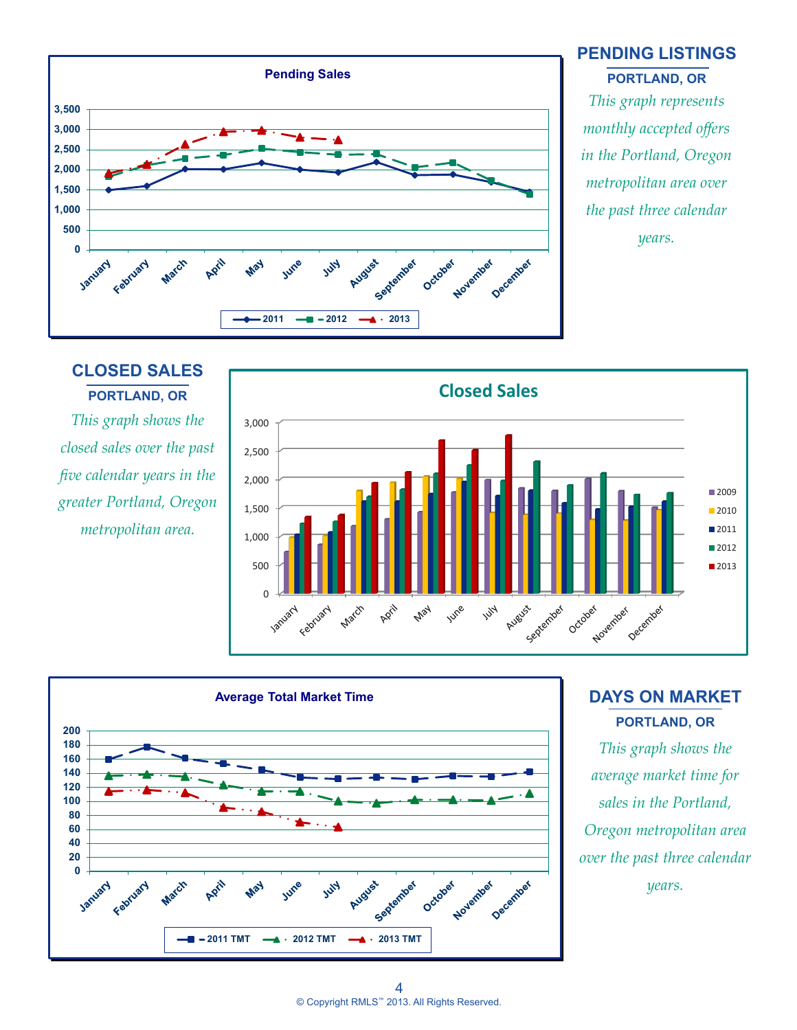

#### **PENDING LISTINGS PORTLAND, OR**

*This graph represents monthly accepted offers in the Portland, Oregon metropolitan area over the past three calendar years.*

### **CLOSED SALES PORTLAND, OR**

*This graph shows the closed sales over the past five calendar years in the greater Portland, Oregon metropolitan area.*





### **DAYS ON MARKET PORTLAND, OR**

*This graph shows the average market time for sales in the Portland, Oregon metropolitan area over the past three calendar years.*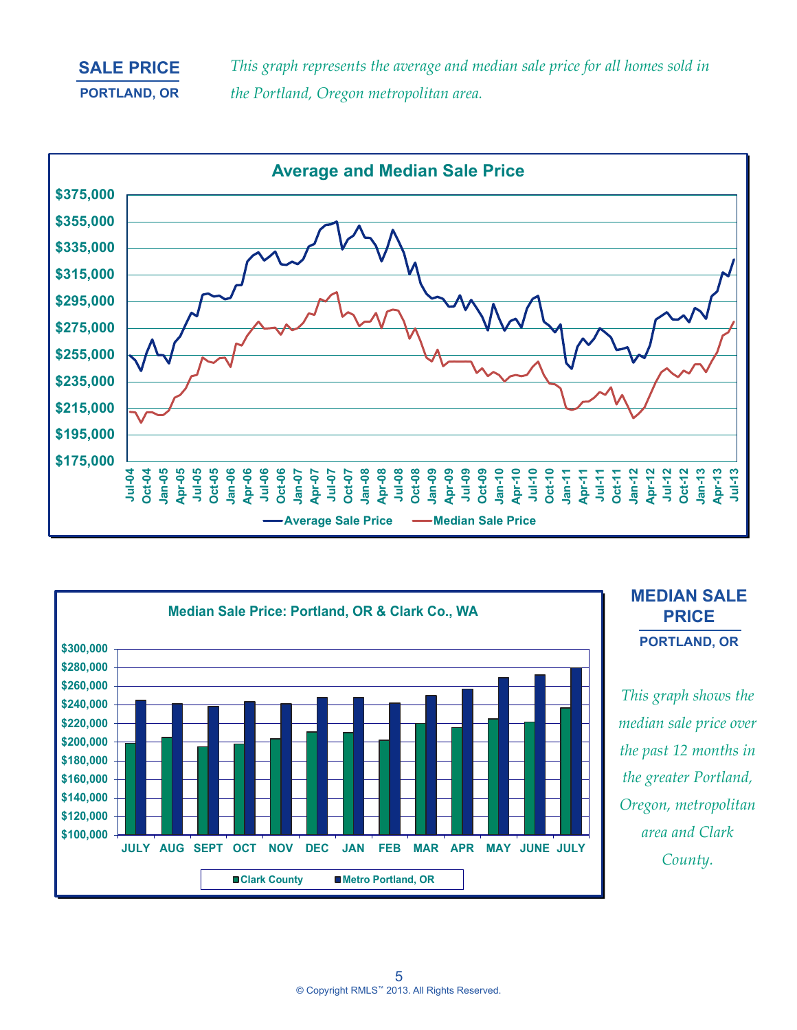#### **SALE PRICE PORTLAND, OR**

*This graph represents the average and median sale price for all homes sold in the Portland, Oregon metropolitan area.*





#### **MEDIAN SALE PRICE PORTLAND, OR**

*This graph shows the median sale price over the past 12 months in the greater Portland, Oregon, metropolitan area and Clark County.*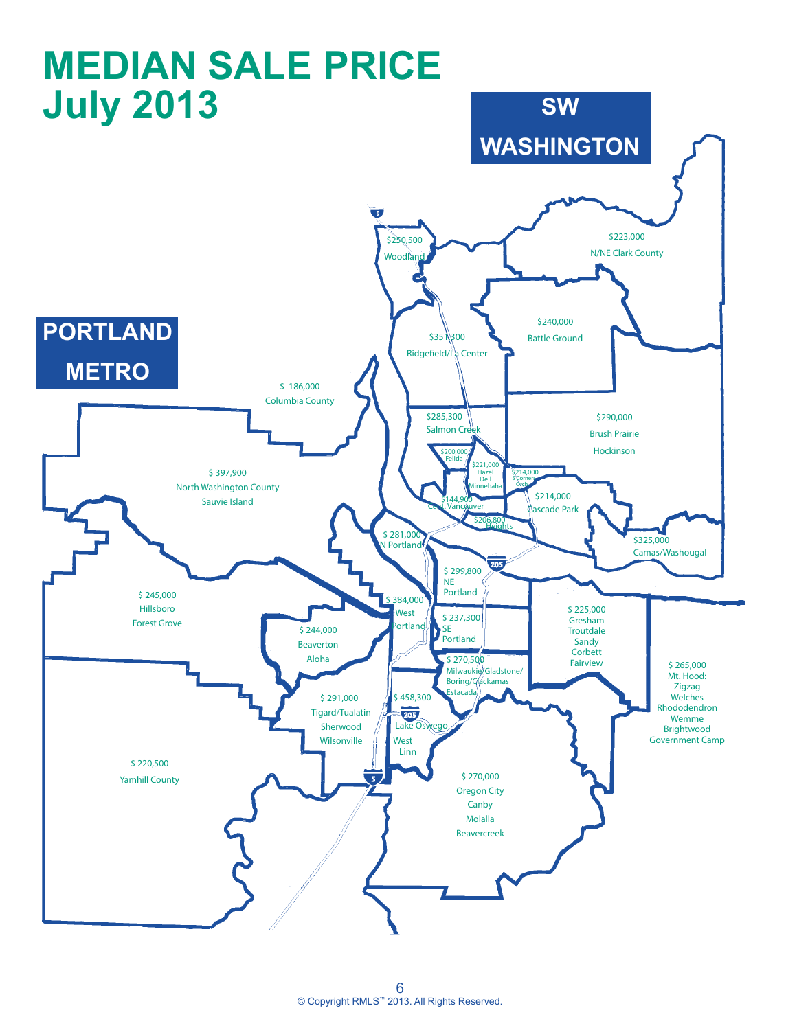